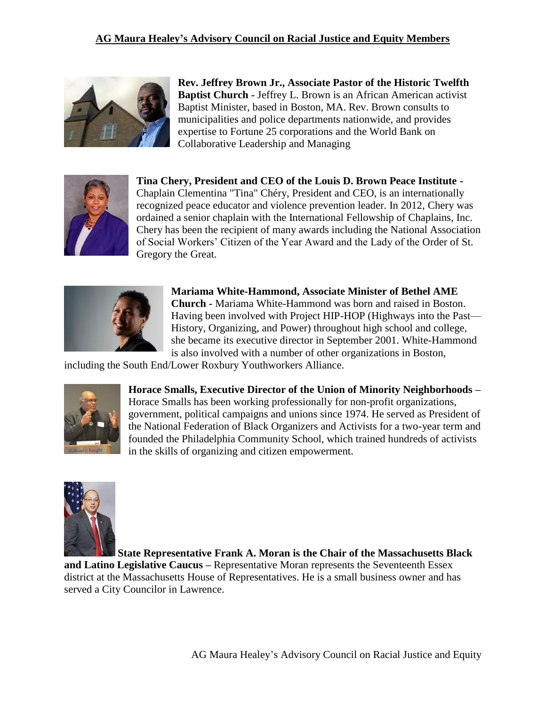

**Rev. Jeffrey Brown Jr., Associate Pastor of the Historic Twelfth Baptist Church -** Jeffrey L. Brown is an African American activist Baptist Minister, based in Boston, MA. Rev. Brown consults to municipalities and police departments nationwide, and provides expertise to Fortune 25 corporations and the World Bank on Collaborative Leadership and Managing



**Tina Chery, President and CEO of the Louis D. Brown Peace Institute -** Chaplain Clementina "Tina" Chéry, President and CEO, is an internationally recognized peace educator and violence prevention leader. In 2012, Chery was ordained a senior chaplain with the International Fellowship of Chaplains, Inc. Chery has been the recipient of many awards including the National Association of Social Workers' Citizen of the Year Award and the Lady of the Order of St. Gregory the Great.



**Mariama White-Hammond, Associate Minister of Bethel AME Church -** Mariama White-Hammond was born and raised in Boston. Having been involved with Project HIP-HOP (Highways into the Past— History, Organizing, and Power) throughout high school and college, she became its executive director in September 2001. White-Hammond is also involved with a number of other organizations in Boston,

including the South End/Lower Roxbury Youthworkers Alliance.



**Horace Smalls, Executive Director of the Union of Minority Neighborhoods –** Horace Smalls has been working professionally for non-profit organizations, government, political campaigns and unions since 1974. He served as President of the National Federation of Black Organizers and Activists for a two-year term and founded the Philadelphia Community School, which trained hundreds of activists in the skills of organizing and citizen empowerment.



**State Representative Frank A. Moran is the Chair of the Massachusetts Black and Latino Legislative Caucus –** Representative Moran represents the Seventeenth Essex district at the Massachusetts House of Representatives. He is a small business owner and has served a City Councilor in Lawrence.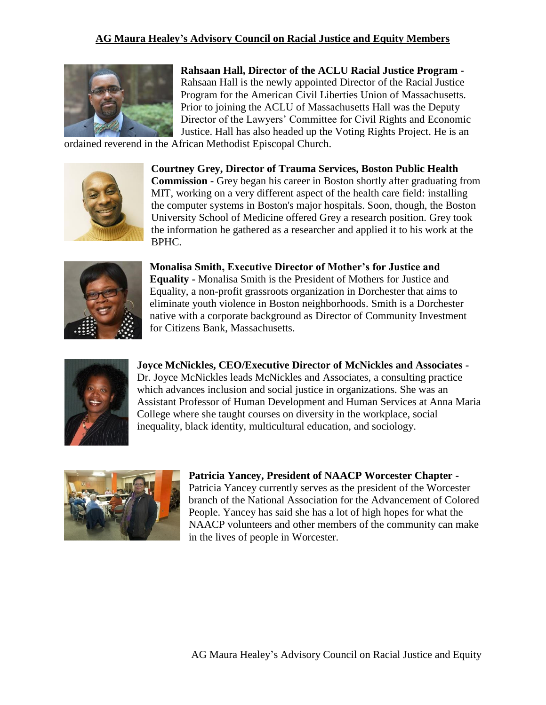

**Rahsaan Hall, Director of the ACLU Racial Justice Program -** Rahsaan Hall is the newly appointed Director of the Racial Justice Program for the American Civil Liberties Union of Massachusetts. Prior to joining the ACLU of Massachusetts Hall was the Deputy Director of the Lawyers' Committee for Civil Rights and Economic Justice. Hall has also headed up the Voting Rights Project. He is an

ordained reverend in the African Methodist Episcopal Church.



**Courtney Grey, Director of Trauma Services, Boston Public Health Commission -** Grey began his career in Boston shortly after graduating from MIT, working on a very different aspect of the health care field: installing the computer systems in Boston's major hospitals. Soon, though, the Boston University School of Medicine offered Grey a research position. Grey took the information he gathered as a researcher and applied it to his work at the BPHC.



**Monalisa Smith, Executive Director of Mother's for Justice and Equality -** Monalisa Smith is the President of Mothers for Justice and Equality, a non-profit grassroots organization in Dorchester that aims to eliminate youth violence in Boston neighborhoods. Smith is a Dorchester native with a corporate background as Director of Community Investment for Citizens Bank, Massachusetts.



**Joyce McNickles, CEO/Executive Director of McNickles and Associates -** Dr. Joyce McNickles leads McNickles and Associates, a consulting practice which advances inclusion and social justice in organizations. She was an Assistant Professor of Human Development and Human Services at Anna Maria College where she taught courses on diversity in the workplace, social inequality, black identity, multicultural education, and sociology.



**Patricia Yancey, President of NAACP Worcester Chapter -** Patricia Yancey currently serves as the president of the Worcester branch of the National Association for the Advancement of Colored People. Yancey has said she has a lot of high hopes for what the NAACP volunteers and other members of the community can make in the lives of people in Worcester.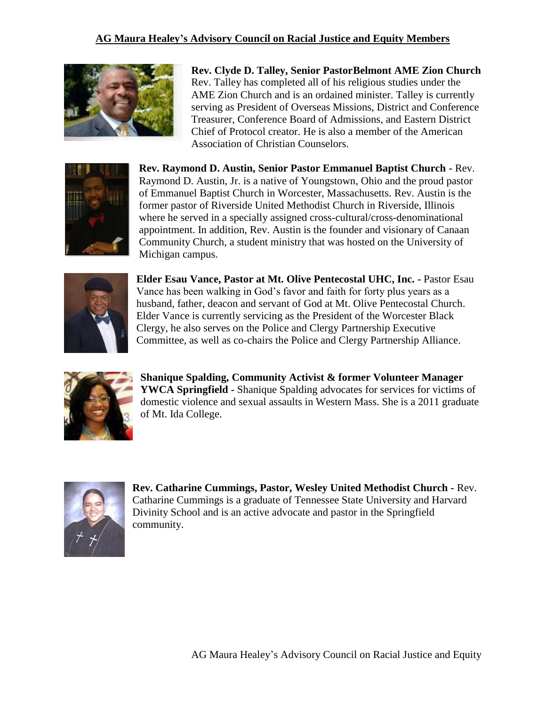

**Rev. Clyde D. Talley, Senior PastorBelmont AME Zion Church** Rev. Talley has completed all of his religious studies under the AME Zion Church and is an ordained minister. Talley is currently serving as President of Overseas Missions, District and Conference Treasurer, Conference Board of Admissions, and Eastern District Chief of Protocol creator. He is also a member of the American Association of Christian Counselors.



**Rev. Raymond D. Austin, Senior Pastor Emmanuel Baptist Church -** Rev. Raymond D. Austin, Jr. is a native of Youngstown, Ohio and the proud pastor of Emmanuel Baptist Church in Worcester, Massachusetts. Rev. Austin is the former pastor of Riverside United Methodist Church in Riverside, Illinois where he served in a specially assigned cross-cultural/cross-denominational appointment. In addition, Rev. Austin is the founder and visionary of Canaan Community Church, a student ministry that was hosted on the University of Michigan campus.



**Elder Esau Vance, Pastor at Mt. Olive Pentecostal UHC, Inc. -** Pastor Esau Vance has been walking in God's favor and faith for forty plus years as a husband, father, deacon and servant of God at Mt. Olive Pentecostal Church. Elder Vance is currently servicing as the President of the Worcester Black Clergy, he also serves on the Police and Clergy Partnership Executive Committee, as well as co-chairs the Police and Clergy Partnership Alliance.



**Shanique Spalding, Community Activist & former Volunteer Manager YWCA Springfield -** Shanique Spalding advocates for services for victims of domestic violence and sexual assaults in Western Mass. She is a 2011 graduate of Mt. Ida College.



**Rev. Catharine Cummings, Pastor, Wesley United Methodist Church -** Rev. Catharine Cummings is a graduate of Tennessee State University and Harvard Divinity School and is an active advocate and pastor in the Springfield community.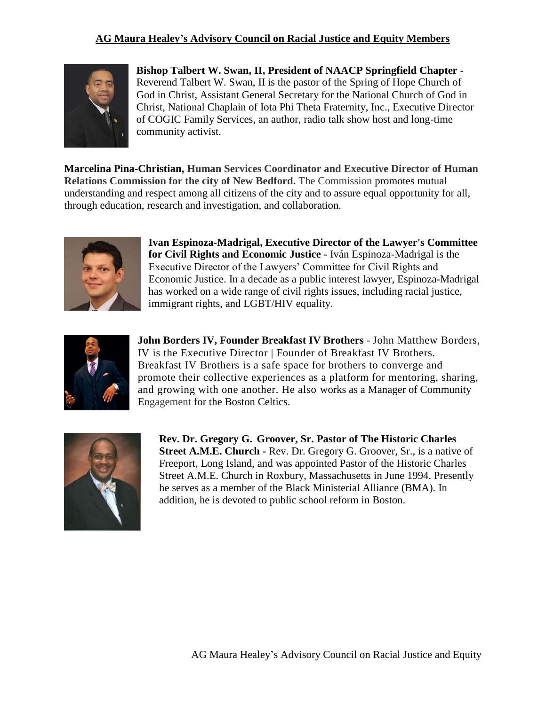

**Bishop Talbert W. Swan, II, President of NAACP Springfield Chapter -** Reverend Talbert W. Swan, II is the pastor of the Spring of Hope Church of God in Christ, Assistant General Secretary for the National Church of God in Christ, National Chaplain of Iota Phi Theta Fraternity, Inc., Executive Director of COGIC Family Services, an author, radio talk show host and long-time community activist.

**Marcelina Pina-Christian, Human Services Coordinator and Executive Director of Human Relations Commission for the city of New Bedford.** The Commission promotes mutual understanding and respect among all citizens of the city and to assure equal opportunity for all, through education, research and investigation, and collaboration.



**Ivan Espinoza-Madrigal, Executive Director of the Lawyer's Committee for Civil Rights and Economic Justice -** Iván Espinoza-Madrigal is the Executive Director of the Lawyers' Committee for Civil Rights and Economic Justice. In a decade as a public interest lawyer, Espinoza-Madrigal has worked on a wide range of civil rights issues, including racial justice, immigrant rights, and LGBT/HIV equality.



**John Borders IV, Founder Breakfast IV Brothers** - John Matthew Borders, IV is the Executive Director | Founder of Breakfast IV Brothers. Breakfast IV Brothers is a safe space for brothers to converge and promote their collective experiences as a platform for mentoring, sharing, and growing with one another. He also works as a Manager of Community Engagement for the Boston Celtics.



**Rev. Dr. Gregory G. Groover, Sr. Pastor of The Historic Charles Street A.M.E. Church -** Rev. Dr. Gregory G. Groover, Sr., is a native of Freeport, Long Island, and was appointed Pastor of the Historic Charles Street A.M.E. Church in Roxbury, Massachusetts in June 1994. Presently he serves as a member of the Black Ministerial Alliance (BMA). In addition, he is devoted to public school reform in Boston.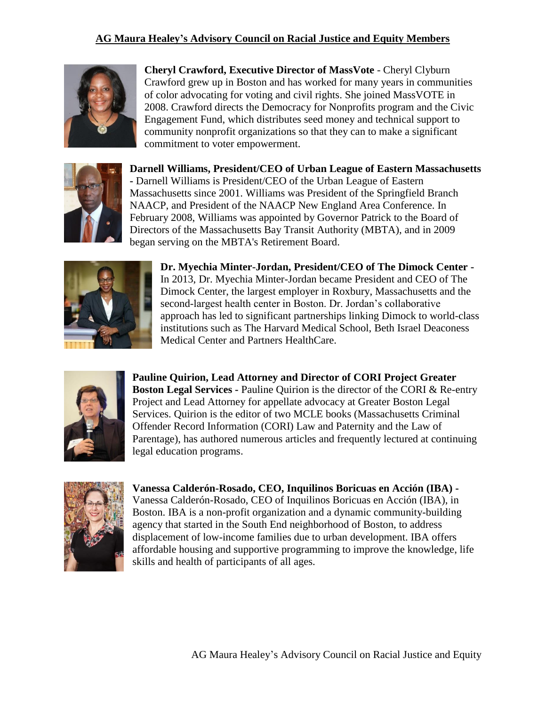

**Cheryl Crawford, Executive Director of MassVote** - Cheryl Clyburn Crawford grew up in Boston and has worked for many years in communities of color advocating for voting and civil rights. She joined MassVOTE in 2008. Crawford directs the Democracy for Nonprofits program and the Civic Engagement Fund, which distributes seed money and technical support to community nonprofit organizations so that they can to make a significant commitment to voter empowerment.



**Darnell Williams, President/CEO of Urban League of Eastern Massachusetts -** Darnell Williams is President/CEO of the Urban League of Eastern Massachusetts since 2001. Williams was President of the Springfield Branch NAACP, and President of the NAACP New England Area Conference. In February 2008, Williams was appointed by Governor Patrick to the Board of Directors of the Massachusetts Bay Transit Authority (MBTA), and in 2009 began serving on the MBTA's Retirement Board.



**Dr. Myechia Minter-Jordan, President/CEO of The Dimock Center -** In 2013, Dr. Myechia Minter-Jordan became President and CEO of The Dimock Center, the largest employer in Roxbury, Massachusetts and the second-largest health center in Boston. Dr. Jordan's collaborative approach has led to significant partnerships linking Dimock to world-class institutions such as The Harvard Medical School, Beth Israel Deaconess Medical Center and Partners HealthCare.



**Pauline Quirion, Lead Attorney and Director of CORI Project Greater Boston Legal Services -** Pauline Quirion is the director of the CORI & Re-entry Project and Lead Attorney for appellate advocacy at Greater Boston Legal Services. Quirion is the editor of two MCLE books (Massachusetts Criminal Offender Record Information (CORI) Law and Paternity and the Law of Parentage), has authored numerous articles and frequently lectured at continuing legal education programs.



**Vanessa Calderón-Rosado, CEO, Inquilinos Boricuas en Acción (IBA) -** Vanessa Calderón-Rosado, CEO of Inquilinos Boricuas en Acción (IBA), in Boston. IBA is a non-profit organization and a dynamic community-building agency that started in the South End neighborhood of Boston, to address displacement of low-income families due to urban development. IBA offers affordable housing and supportive programming to improve the knowledge, life skills and health of participants of all ages.